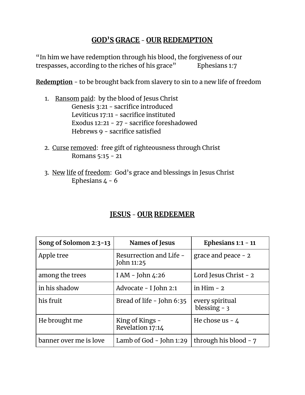## **GOD'S GRACE** - **OUR REDEMPTION**

"In him we have redemption through his blood, the forgiveness of our trespasses, according to the riches of his grace" Ephesians 1:7

**Redemption** - to be brought back from slavery to sin to a new life of freedom

- 1. Ransom paid: by the blood of Jesus Christ Genesis 3:21 - sacrifice introduced Leviticus 17:11 - sacrifice instituted Exodus 12:21 - 27 - sacrifice foreshadowed Hebrews 9 - sacrifice satisfied
- 2. Curse removed: free gift of righteousness through Christ Romans 5:15 - 21
- 3. New life of freedom: God's grace and blessings in Jesus Christ Ephesians  $4 - 6$

## **JESUS** - **OUR REDEEMER**

| Song of Solomon 2:3-13 | Names of Jesus                        | Ephesians $1:1 - 11$             |
|------------------------|---------------------------------------|----------------------------------|
| Apple tree             | Resurrection and Life -<br>John 11:25 | grace and peace $-2$             |
| among the trees        | I AM - John $4:26$                    | Lord Jesus Christ - 2            |
| in his shadow          | Advocate - I John 2:1                 | in Him $-2$                      |
| his fruit              | Bread of life - John 6:35             | every spiritual<br>blessing $-3$ |
| He brought me          | King of Kings -<br>Revelation 17:14   | He chose us $-4$                 |
| banner over me is love | Lamb of God $-$ John 1:29             | through his blood - 7            |